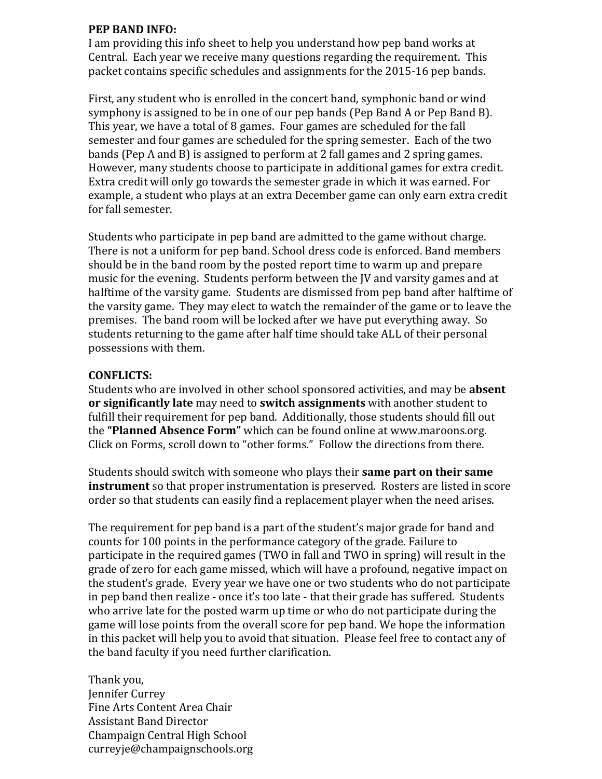## **PEP BAND INFO:**

I am providing this info sheet to help you understand how pep band works at Central. Each year we receive many questions regarding the requirement. This packet contains specific schedules and assignments for the 2015-16 pep bands.

First, any student who is enrolled in the concert band, symphonic band or wind symphony is assigned to be in one of our pep bands (Pep Band A or Pep Band B). This year, we have a total of 8 games. Four games are scheduled for the fall semester and four games are scheduled for the spring semester. Each of the two bands (Pep A and B) is assigned to perform at 2 fall games and 2 spring games. However, many students choose to participate in additional games for extra credit. Extra credit will only go towards the semester grade in which it was earned. For example, a student who plays at an extra December game can only earn extra credit for fall semester.

Students who participate in pep band are admitted to the game without charge. There is not a uniform for pep band. School dress code is enforced. Band members should be in the band room by the posted report time to warm up and prepare music for the evening. Students perform between the JV and varsity games and at halftime of the varsity game. Students are dismissed from pep band after halftime of the varsity game. They may elect to watch the remainder of the game or to leave the premises. The band room will be locked after we have put everything away. So students returning to the game after half time should take ALL of their personal possessions with them.

## **CONFLICTS:**

Students who are involved in other school sponsored activities, and may be **absent or significantly late** may need to **switch assignments** with another student to fulfill their requirement for pep band. Additionally, those students should fill out the **"Planned Absence Form"** which can be found online at www.maroons.org. Click on Forms, scroll down to "other forms." Follow the directions from there.

Students should switch with someone who plays their **same part on their same instrument** so that proper instrumentation is preserved. Rosters are listed in score order so that students can easily find a replacement player when the need arises.

The requirement for pep band is a part of the student's major grade for band and counts for 100 points in the performance category of the grade. Failure to participate in the required games (TWO in fall and TWO in spring) will result in the grade of zero for each game missed, which will have a profound, negative impact on the student's grade. Every year we have one or two students who do not participate in pep band then realize - once it's too late - that their grade has suffered. Students who arrive late for the posted warm up time or who do not participate during the game will lose points from the overall score for pep band. We hope the information in this packet will help you to avoid that situation. Please feel free to contact any of the band faculty if you need further clarification.

Thank you, Jennifer Currey Fine Arts Content Area Chair Assistant Band Director Champaign Central High School curreyje@champaignschools.org